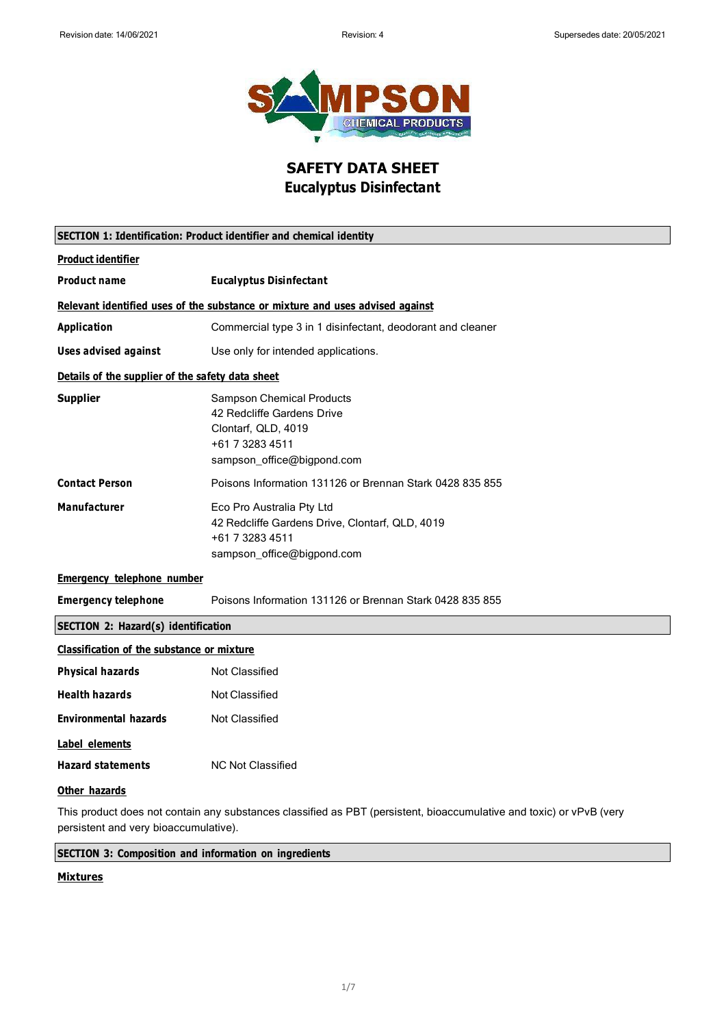

### **SAFETY DATA SHEET Eucalyptus Disinfectant**

| <b>SECTION 1: Identification: Product identifier and chemical identity</b>    |                                                                                                                                        |  |
|-------------------------------------------------------------------------------|----------------------------------------------------------------------------------------------------------------------------------------|--|
| <b>Product identifier</b>                                                     |                                                                                                                                        |  |
| <b>Product name</b>                                                           | <b>Eucalyptus Disinfectant</b>                                                                                                         |  |
| Relevant identified uses of the substance or mixture and uses advised against |                                                                                                                                        |  |
| <b>Application</b>                                                            | Commercial type 3 in 1 disinfectant, deodorant and cleaner                                                                             |  |
| <b>Uses advised against</b>                                                   | Use only for intended applications.                                                                                                    |  |
| Details of the supplier of the safety data sheet                              |                                                                                                                                        |  |
| <b>Supplier</b>                                                               | <b>Sampson Chemical Products</b><br>42 Redcliffe Gardens Drive<br>Clontarf, QLD, 4019<br>+61 7 3283 4511<br>sampson_office@bigpond.com |  |
| <b>Contact Person</b>                                                         | Poisons Information 131126 or Brennan Stark 0428 835 855                                                                               |  |
| <b>Manufacturer</b>                                                           | Eco Pro Australia Pty Ltd<br>42 Redcliffe Gardens Drive, Clontarf, QLD, 4019<br>+61 7 3283 4511<br>sampson_office@bigpond.com          |  |
| <b>Emergency telephone number</b>                                             |                                                                                                                                        |  |
| <b>Emergency telephone</b>                                                    | Poisons Information 131126 or Brennan Stark 0428 835 855                                                                               |  |
| <b>SECTION 2: Hazard(s) identification</b>                                    |                                                                                                                                        |  |
| <b>Classification of the substance or mixture</b>                             |                                                                                                                                        |  |
| <b>Physical hazards</b>                                                       | <b>Not Classified</b>                                                                                                                  |  |
| <b>Health hazards</b>                                                         | <b>Not Classified</b>                                                                                                                  |  |
| <b>Environmental hazards</b>                                                  | <b>Not Classified</b>                                                                                                                  |  |
| <b>Label elements</b>                                                         |                                                                                                                                        |  |
| <b>Hazard statements</b>                                                      | <b>NC Not Classified</b>                                                                                                               |  |
| Other hazards                                                                 |                                                                                                                                        |  |
|                                                                               | This product does not contain any substances classified as PBT (persistent, bioaccumulative and toxic) or vPvB (very                   |  |

persistent and very bioaccumulative).

**SECTION 3: Composition and information on ingredients**

#### **Mixtures**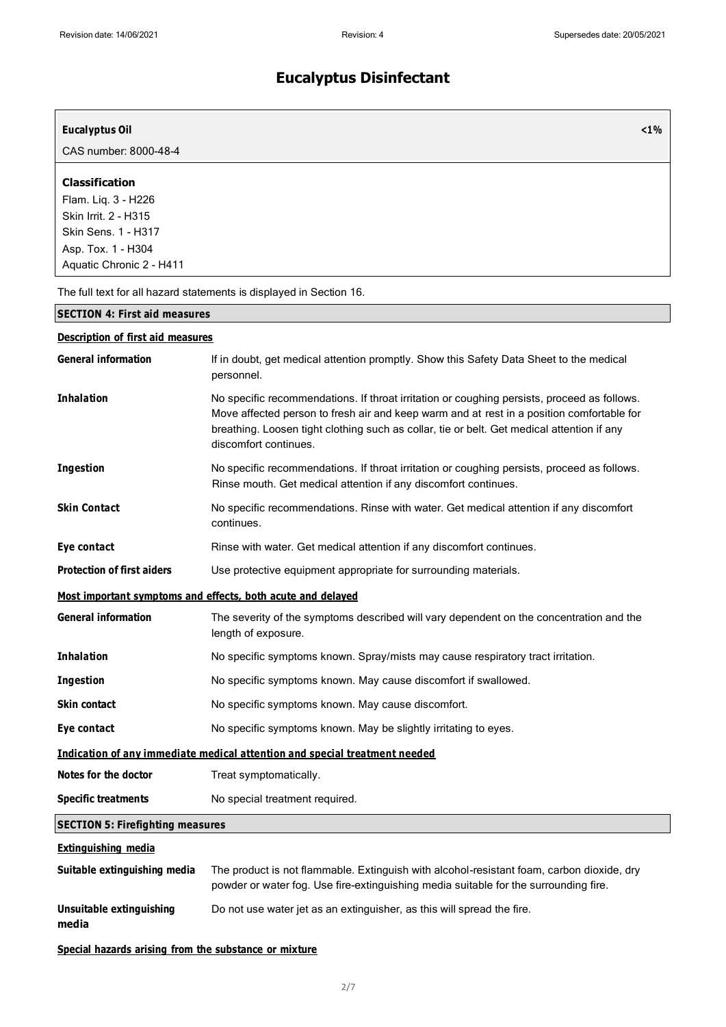| <b>Eucalyptus Oil</b>                                                                                                                                |                                                                                                                                                                                                                                                                                                                 | $1\%$ |
|------------------------------------------------------------------------------------------------------------------------------------------------------|-----------------------------------------------------------------------------------------------------------------------------------------------------------------------------------------------------------------------------------------------------------------------------------------------------------------|-------|
| CAS number: 8000-48-4                                                                                                                                |                                                                                                                                                                                                                                                                                                                 |       |
| <b>Classification</b><br>Flam. Liq. 3 - H226<br>Skin Irrit. 2 - H315<br><b>Skin Sens. 1 - H317</b><br>Asp. Tox. 1 - H304<br>Aquatic Chronic 2 - H411 |                                                                                                                                                                                                                                                                                                                 |       |
|                                                                                                                                                      | The full text for all hazard statements is displayed in Section 16.                                                                                                                                                                                                                                             |       |
| <b>SECTION 4: First aid measures</b>                                                                                                                 |                                                                                                                                                                                                                                                                                                                 |       |
| <b>Description of first aid measures</b>                                                                                                             |                                                                                                                                                                                                                                                                                                                 |       |
| <b>General information</b>                                                                                                                           | If in doubt, get medical attention promptly. Show this Safety Data Sheet to the medical<br>personnel.                                                                                                                                                                                                           |       |
| <b>Inhalation</b>                                                                                                                                    | No specific recommendations. If throat irritation or coughing persists, proceed as follows.<br>Move affected person to fresh air and keep warm and at rest in a position comfortable for<br>breathing. Loosen tight clothing such as collar, tie or belt. Get medical attention if any<br>discomfort continues. |       |
| <b>Ingestion</b>                                                                                                                                     | No specific recommendations. If throat irritation or coughing persists, proceed as follows.<br>Rinse mouth. Get medical attention if any discomfort continues.                                                                                                                                                  |       |
| <b>Skin Contact</b>                                                                                                                                  | No specific recommendations. Rinse with water. Get medical attention if any discomfort<br>continues.                                                                                                                                                                                                            |       |
| Eye contact                                                                                                                                          | Rinse with water. Get medical attention if any discomfort continues.                                                                                                                                                                                                                                            |       |
| <b>Protection of first aiders</b>                                                                                                                    | Use protective equipment appropriate for surrounding materials.                                                                                                                                                                                                                                                 |       |
|                                                                                                                                                      | Most important symptoms and effects, both acute and delayed                                                                                                                                                                                                                                                     |       |
| <b>General information</b>                                                                                                                           | The severity of the symptoms described will vary dependent on the concentration and the<br>length of exposure.                                                                                                                                                                                                  |       |
| <b>Inhalation</b>                                                                                                                                    | No specific symptoms known. Spray/mists may cause respiratory tract irritation.                                                                                                                                                                                                                                 |       |
| Ingestion                                                                                                                                            | No specific symptoms known. May cause discomfort if swallowed.                                                                                                                                                                                                                                                  |       |
| Skin contact                                                                                                                                         | No specific symptoms known. May cause discomfort.                                                                                                                                                                                                                                                               |       |
| Eye contact                                                                                                                                          | No specific symptoms known. May be slightly irritating to eyes.                                                                                                                                                                                                                                                 |       |
|                                                                                                                                                      | Indication of any immediate medical attention and special treatment needed                                                                                                                                                                                                                                      |       |
| Notes for the doctor                                                                                                                                 | Treat symptomatically.                                                                                                                                                                                                                                                                                          |       |
| <b>Specific treatments</b>                                                                                                                           | No special treatment required.                                                                                                                                                                                                                                                                                  |       |
| <b>SECTION 5: Firefighting measures</b>                                                                                                              |                                                                                                                                                                                                                                                                                                                 |       |
| <b>Extinguishing media</b>                                                                                                                           |                                                                                                                                                                                                                                                                                                                 |       |
| Suitable extinguishing media                                                                                                                         | The product is not flammable. Extinguish with alcohol-resistant foam, carbon dioxide, dry<br>powder or water fog. Use fire-extinguishing media suitable for the surrounding fire.                                                                                                                               |       |
| <b>Unsuitable extinguishing</b><br>media                                                                                                             | Do not use water jet as an extinguisher, as this will spread the fire.                                                                                                                                                                                                                                          |       |
| Special hazards arising from the substance or mixture                                                                                                |                                                                                                                                                                                                                                                                                                                 |       |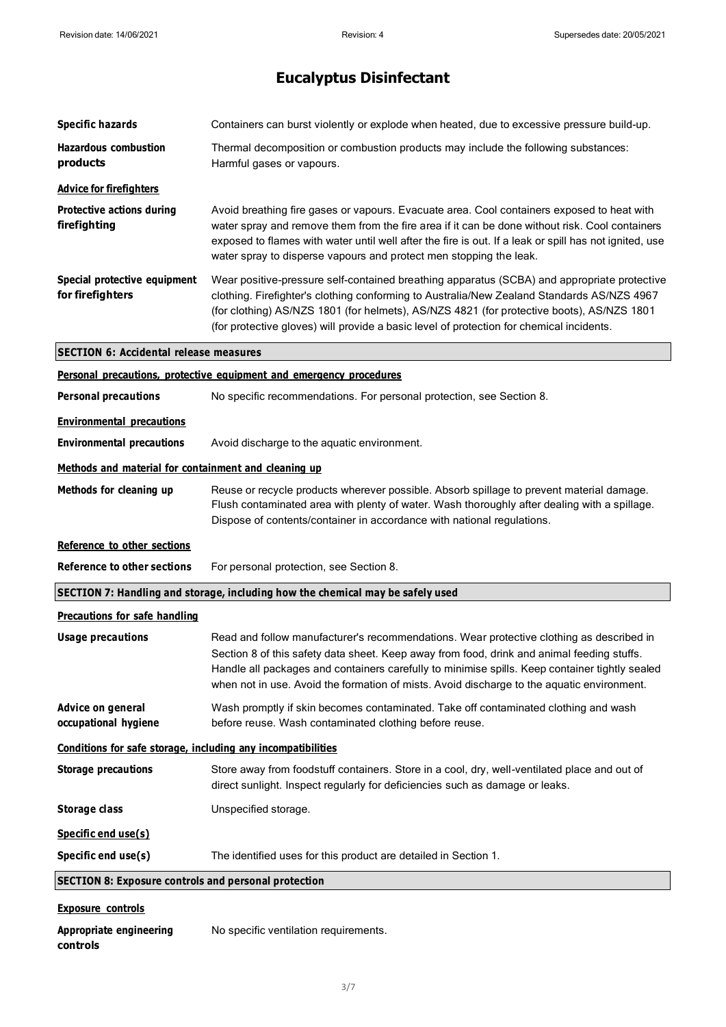| <b>Specific hazards</b>                                      | Containers can burst violently or explode when heated, due to excessive pressure build-up.                                                                                                                                                                                                                                                                                             |
|--------------------------------------------------------------|----------------------------------------------------------------------------------------------------------------------------------------------------------------------------------------------------------------------------------------------------------------------------------------------------------------------------------------------------------------------------------------|
| <b>Hazardous combustion</b><br>products                      | Thermal decomposition or combustion products may include the following substances:<br>Harmful gases or vapours.                                                                                                                                                                                                                                                                        |
| <b>Advice for firefighters</b>                               |                                                                                                                                                                                                                                                                                                                                                                                        |
| <b>Protective actions during</b><br>firefighting             | Avoid breathing fire gases or vapours. Evacuate area. Cool containers exposed to heat with<br>water spray and remove them from the fire area if it can be done without risk. Cool containers<br>exposed to flames with water until well after the fire is out. If a leak or spill has not ignited, use<br>water spray to disperse vapours and protect men stopping the leak.           |
| Special protective equipment<br>for firefighters             | Wear positive-pressure self-contained breathing apparatus (SCBA) and appropriate protective<br>clothing. Firefighter's clothing conforming to Australia/New Zealand Standards AS/NZS 4967<br>(for clothing) AS/NZS 1801 (for helmets), AS/NZS 4821 (for protective boots), AS/NZS 1801<br>(for protective gloves) will provide a basic level of protection for chemical incidents.     |
| <b>SECTION 6: Accidental release measures</b>                |                                                                                                                                                                                                                                                                                                                                                                                        |
|                                                              | Personal precautions, protective equipment and emergency procedures                                                                                                                                                                                                                                                                                                                    |
| <b>Personal precautions</b>                                  | No specific recommendations. For personal protection, see Section 8.                                                                                                                                                                                                                                                                                                                   |
| <b>Environmental precautions</b>                             |                                                                                                                                                                                                                                                                                                                                                                                        |
| <b>Environmental precautions</b>                             | Avoid discharge to the aquatic environment.                                                                                                                                                                                                                                                                                                                                            |
| Methods and material for containment and cleaning up         |                                                                                                                                                                                                                                                                                                                                                                                        |
| Methods for cleaning up                                      | Reuse or recycle products wherever possible. Absorb spillage to prevent material damage.<br>Flush contaminated area with plenty of water. Wash thoroughly after dealing with a spillage.<br>Dispose of contents/container in accordance with national regulations.                                                                                                                     |
|                                                              |                                                                                                                                                                                                                                                                                                                                                                                        |
| Reference to other sections                                  |                                                                                                                                                                                                                                                                                                                                                                                        |
| <b>Reference to other sections</b>                           | For personal protection, see Section 8.                                                                                                                                                                                                                                                                                                                                                |
|                                                              | SECTION 7: Handling and storage, including how the chemical may be safely used                                                                                                                                                                                                                                                                                                         |
| <b>Precautions for safe handling</b>                         |                                                                                                                                                                                                                                                                                                                                                                                        |
| <b>Usage precautions</b>                                     | Read and follow manufacturer's recommendations. Wear protective clothing as described in<br>Section 8 of this safety data sheet. Keep away from food, drink and animal feeding stuffs.<br>Handle all packages and containers carefully to minimise spills. Keep container tightly sealed<br>when not in use. Avoid the formation of mists. Avoid discharge to the aquatic environment. |
| Advice on general<br>occupational hygiene                    | Wash promptly if skin becomes contaminated. Take off contaminated clothing and wash<br>before reuse. Wash contaminated clothing before reuse.                                                                                                                                                                                                                                          |
| Conditions for safe storage, including any incompatibilities |                                                                                                                                                                                                                                                                                                                                                                                        |
| <b>Storage precautions</b>                                   | Store away from foodstuff containers. Store in a cool, dry, well-ventilated place and out of<br>direct sunlight. Inspect regularly for deficiencies such as damage or leaks.                                                                                                                                                                                                           |
| Storage class                                                | Unspecified storage.                                                                                                                                                                                                                                                                                                                                                                   |
| Specific end use(s)                                          |                                                                                                                                                                                                                                                                                                                                                                                        |
| Specific end use(s)                                          | The identified uses for this product are detailed in Section 1.                                                                                                                                                                                                                                                                                                                        |
| <b>SECTION 8: Exposure controls and personal protection</b>  |                                                                                                                                                                                                                                                                                                                                                                                        |
| <b>Exposure controls</b>                                     |                                                                                                                                                                                                                                                                                                                                                                                        |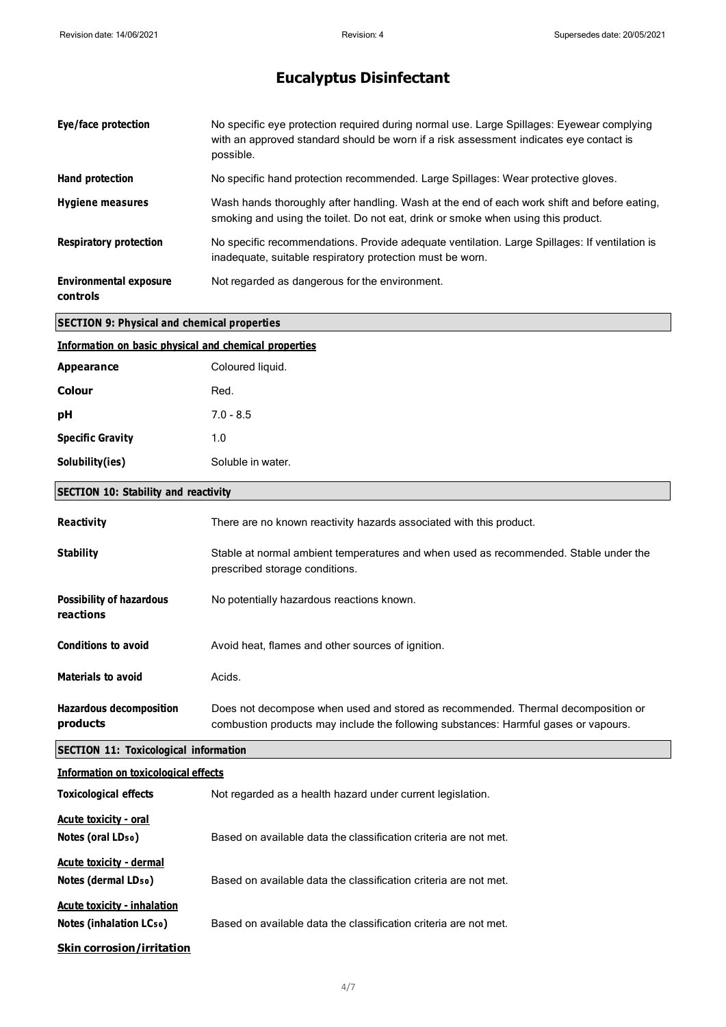| Eye/face protection                                   | No specific eye protection required during normal use. Large Spillages: Eyewear complying<br>with an approved standard should be worn if a risk assessment indicates eye contact is<br>possible. |
|-------------------------------------------------------|--------------------------------------------------------------------------------------------------------------------------------------------------------------------------------------------------|
| Hand protection                                       | No specific hand protection recommended. Large Spillages: Wear protective gloves.                                                                                                                |
| <b>Hygiene measures</b>                               | Wash hands thoroughly after handling. Wash at the end of each work shift and before eating,<br>smoking and using the toilet. Do not eat, drink or smoke when using this product.                 |
| <b>Respiratory protection</b>                         | No specific recommendations. Provide adequate ventilation. Large Spillages: If ventilation is<br>inadequate, suitable respiratory protection must be worn.                                       |
| <b>Environmental exposure</b><br>controls             | Not regarded as dangerous for the environment.                                                                                                                                                   |
| <b>SECTION 9: Physical and chemical properties</b>    |                                                                                                                                                                                                  |
| Information on basic physical and chemical properties |                                                                                                                                                                                                  |
| <b>Appearance</b>                                     | Coloured liquid.                                                                                                                                                                                 |
| <b>Colour</b>                                         | Red.                                                                                                                                                                                             |
| pH                                                    | $7.0 - 8.5$                                                                                                                                                                                      |
| <b>Specific Gravity</b>                               | 1.0                                                                                                                                                                                              |
| Solubility(ies)                                       | Soluble in water.                                                                                                                                                                                |

#### **SECTION 10: Stability and reactivity**

| <b>Reactivity</b>                                             | There are no known reactivity hazards associated with this product.                                                                                                     |
|---------------------------------------------------------------|-------------------------------------------------------------------------------------------------------------------------------------------------------------------------|
| <b>Stability</b>                                              | Stable at normal ambient temperatures and when used as recommended. Stable under the<br>prescribed storage conditions.                                                  |
| <b>Possibility of hazardous</b><br>reactions                  | No potentially hazardous reactions known.                                                                                                                               |
| <b>Conditions to avoid</b>                                    | Avoid heat, flames and other sources of ignition.                                                                                                                       |
| <b>Materials to avoid</b>                                     | Acids.                                                                                                                                                                  |
| <b>Hazardous decomposition</b><br>products                    | Does not decompose when used and stored as recommended. Thermal decomposition or<br>combustion products may include the following substances: Harmful gases or vapours. |
|                                                               |                                                                                                                                                                         |
| <b>SECTION 11: Toxicological information</b>                  |                                                                                                                                                                         |
| <b>Information on toxicological effects</b>                   |                                                                                                                                                                         |
| <b>Toxicological effects</b>                                  | Not regarded as a health hazard under current legislation.                                                                                                              |
| Acute toxicity - oral<br>Notes (oral LD <sub>50</sub> )       | Based on available data the classification criteria are not met.                                                                                                        |
| <b>Acute toxicity - dermal</b><br>Notes (dermal LDso)         | Based on available data the classification criteria are not met.                                                                                                        |
| <b>Acute toxicity - inhalation</b><br>Notes (inhalation LCso) | Based on available data the classification criteria are not met.                                                                                                        |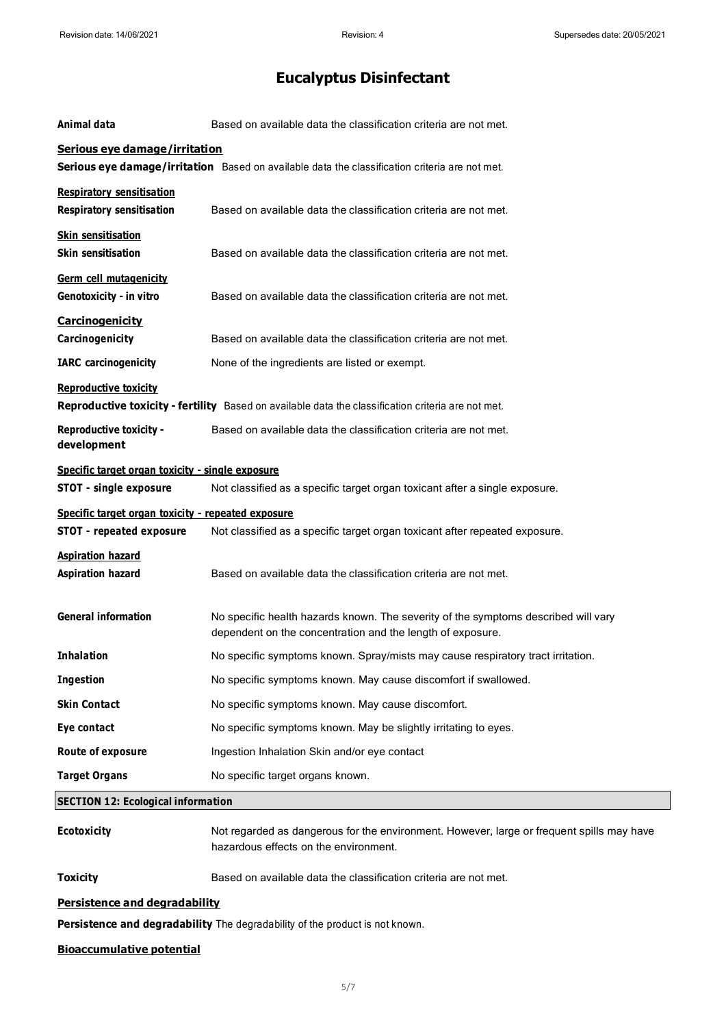| Animal data                                                                                                                        | Based on available data the classification criteria are not met.                                                                                 |
|------------------------------------------------------------------------------------------------------------------------------------|--------------------------------------------------------------------------------------------------------------------------------------------------|
| Serious eye damage/irritation<br>Serious eye damage/irritation Based on available data the classification criteria are not met.    |                                                                                                                                                  |
| <b>Respiratory sensitisation</b><br><b>Respiratory sensitisation</b>                                                               | Based on available data the classification criteria are not met.                                                                                 |
| <b>Skin sensitisation</b><br><b>Skin sensitisation</b>                                                                             | Based on available data the classification criteria are not met.                                                                                 |
| Germ cell mutagenicity<br>Genotoxicity - in vitro                                                                                  | Based on available data the classification criteria are not met.                                                                                 |
| <b>Carcinogenicity</b><br>Carcinogenicity                                                                                          | Based on available data the classification criteria are not met.                                                                                 |
| <b>IARC</b> carcinogenicity                                                                                                        | None of the ingredients are listed or exempt.                                                                                                    |
| <b>Reproductive toxicity</b><br>Reproductive toxicity - fertility Based on available data the classification criteria are not met. |                                                                                                                                                  |
| <b>Reproductive toxicity -</b><br>development                                                                                      | Based on available data the classification criteria are not met.                                                                                 |
| Specific target organ toxicity - single exposure<br><b>STOT - single exposure</b>                                                  | Not classified as a specific target organ toxicant after a single exposure.                                                                      |
| Specific target organ toxicity - repeated exposure                                                                                 |                                                                                                                                                  |
| <b>STOT - repeated exposure</b>                                                                                                    | Not classified as a specific target organ toxicant after repeated exposure.                                                                      |
| <b>Aspiration hazard</b><br><b>Aspiration hazard</b>                                                                               | Based on available data the classification criteria are not met.                                                                                 |
| <b>General information</b>                                                                                                         | No specific health hazards known. The severity of the symptoms described will vary<br>dependent on the concentration and the length of exposure. |
| <b>Inhalation</b>                                                                                                                  | No specific symptoms known. Spray/mists may cause respiratory tract irritation.                                                                  |
| Ingestion                                                                                                                          | No specific symptoms known. May cause discomfort if swallowed.                                                                                   |
| <b>Skin Contact</b>                                                                                                                | No specific symptoms known. May cause discomfort.                                                                                                |
| <b>Eye contact</b>                                                                                                                 | No specific symptoms known. May be slightly irritating to eyes.                                                                                  |
| Route of exposure                                                                                                                  | Ingestion Inhalation Skin and/or eye contact                                                                                                     |
| <b>Target Organs</b>                                                                                                               | No specific target organs known.                                                                                                                 |
| <b>SECTION 12: Ecological information</b>                                                                                          |                                                                                                                                                  |
| <b>Ecotoxicity</b>                                                                                                                 | Not regarded as dangerous for the environment. However, large or frequent spills may have<br>hazardous effects on the environment.               |
| <b>Toxicity</b>                                                                                                                    | Based on available data the classification criteria are not met.                                                                                 |
| <b>Persistence and degradability</b>                                                                                               |                                                                                                                                                  |
|                                                                                                                                    |                                                                                                                                                  |

**Persistence and degradability** The degradability of the product is not known.

#### **Bioaccumulative potential**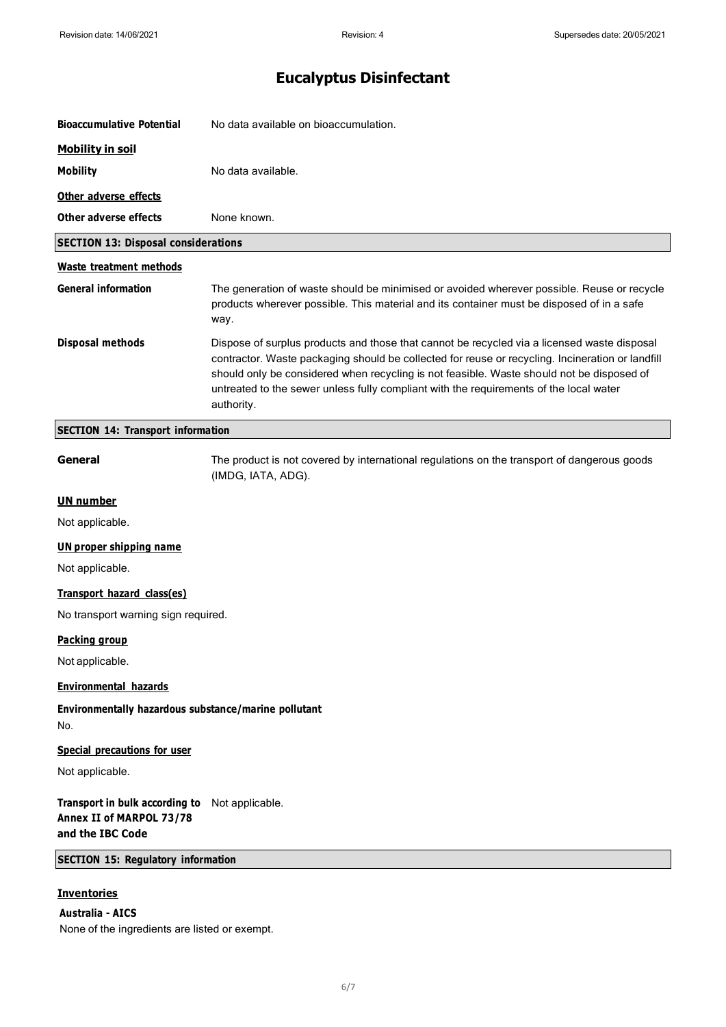| <b>Bioaccumulative Potential</b>                                               | No data available on bioaccumulation.                                                                                                                                                                                                                                                                                                                                                                |
|--------------------------------------------------------------------------------|------------------------------------------------------------------------------------------------------------------------------------------------------------------------------------------------------------------------------------------------------------------------------------------------------------------------------------------------------------------------------------------------------|
| <b>Mobility in soil</b>                                                        |                                                                                                                                                                                                                                                                                                                                                                                                      |
| <b>Mobility</b>                                                                | No data available.                                                                                                                                                                                                                                                                                                                                                                                   |
| Other adverse effects                                                          |                                                                                                                                                                                                                                                                                                                                                                                                      |
| Other adverse effects                                                          | None known.                                                                                                                                                                                                                                                                                                                                                                                          |
| <b>SECTION 13: Disposal considerations</b>                                     |                                                                                                                                                                                                                                                                                                                                                                                                      |
| Waste treatment methods                                                        |                                                                                                                                                                                                                                                                                                                                                                                                      |
| <b>General information</b>                                                     | The generation of waste should be minimised or avoided wherever possible. Reuse or recycle<br>products wherever possible. This material and its container must be disposed of in a safe<br>way.                                                                                                                                                                                                      |
| Disposal methods                                                               | Dispose of surplus products and those that cannot be recycled via a licensed waste disposal<br>contractor. Waste packaging should be collected for reuse or recycling. Incineration or landfill<br>should only be considered when recycling is not feasible. Waste should not be disposed of<br>untreated to the sewer unless fully compliant with the requirements of the local water<br>authority. |
| <b>SECTION 14: Transport information</b>                                       |                                                                                                                                                                                                                                                                                                                                                                                                      |
| General                                                                        | The product is not covered by international regulations on the transport of dangerous goods<br>(IMDG, IATA, ADG).                                                                                                                                                                                                                                                                                    |
| <b>UN number</b>                                                               |                                                                                                                                                                                                                                                                                                                                                                                                      |
| Not applicable.                                                                |                                                                                                                                                                                                                                                                                                                                                                                                      |
| <b>UN proper shipping name</b>                                                 |                                                                                                                                                                                                                                                                                                                                                                                                      |
| Not applicable.                                                                |                                                                                                                                                                                                                                                                                                                                                                                                      |
| Transport hazard class(es)                                                     |                                                                                                                                                                                                                                                                                                                                                                                                      |
| No transport warning sign required.                                            |                                                                                                                                                                                                                                                                                                                                                                                                      |
| <b>Packing group</b>                                                           |                                                                                                                                                                                                                                                                                                                                                                                                      |
| Not applicable.                                                                |                                                                                                                                                                                                                                                                                                                                                                                                      |
| <b>Environmental hazards</b>                                                   |                                                                                                                                                                                                                                                                                                                                                                                                      |
| Environmentally hazardous substance/marine pollutant<br>No.                    |                                                                                                                                                                                                                                                                                                                                                                                                      |
| <b>Special precautions for user</b>                                            |                                                                                                                                                                                                                                                                                                                                                                                                      |
| Not applicable.                                                                |                                                                                                                                                                                                                                                                                                                                                                                                      |
| Transport in bulk according to<br>Annex II of MARPOL 73/78<br>and the IBC Code | Not applicable.                                                                                                                                                                                                                                                                                                                                                                                      |
| <b>SECTION 15: Regulatory information</b>                                      |                                                                                                                                                                                                                                                                                                                                                                                                      |
| <b>Inventories</b>                                                             |                                                                                                                                                                                                                                                                                                                                                                                                      |

#### **Australia - AICS**

None of the ingredients are listed or exempt.